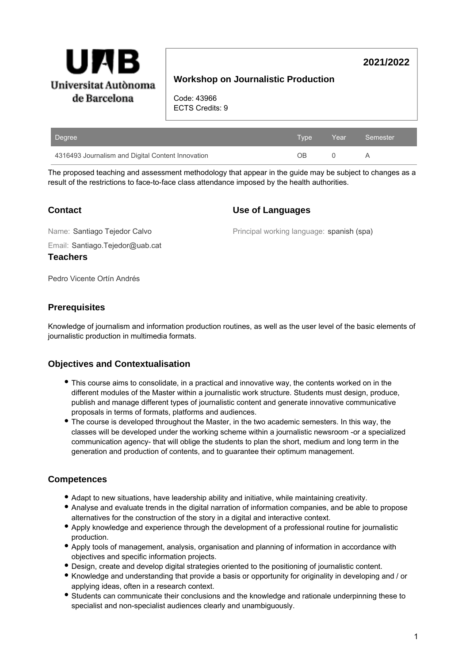

# **Workshop on Journalistic Production**

Code: 43966 ECTS Credits: 9

| Degree                                            | Tvpe | $\angle$ Year $\angle$ | Semester |
|---------------------------------------------------|------|------------------------|----------|
| 4316493 Journalism and Digital Content Innovation | nв   |                        |          |

The proposed teaching and assessment methodology that appear in the guide may be subject to changes as a result of the restrictions to face-to-face class attendance imposed by the health authorities.

## **Contact**

### **Use of Languages**

Email: Santiago.Tejedor@uab.cat Name: Santiago Tejedor Calvo **Teachers**

Principal working language: spanish (spa)

**2021/2022**

Pedro Vicente Ortín Andrés

## **Prerequisites**

Knowledge of journalism and information production routines, as well as the user level of the basic elements of journalistic production in multimedia formats.

# **Objectives and Contextualisation**

- This course aims to consolidate, in a practical and innovative way, the contents worked on in the different modules of the Master within a journalistic work structure. Students must design, produce, publish and manage different types of journalistic content and generate innovative communicative proposals in terms of formats, platforms and audiences.
- The course is developed throughout the Master, in the two academic semesters. In this way, the classes will be developed under the working scheme within a journalistic newsroom -or a specialized communication agency- that will oblige the students to plan the short, medium and long term in the generation and production of contents, and to guarantee their optimum management.

# **Competences**

- Adapt to new situations, have leadership ability and initiative, while maintaining creativity.
- Analyse and evaluate trends in the digital narration of information companies, and be able to propose alternatives for the construction of the story in a digital and interactive context.
- Apply knowledge and experience through the development of a professional routine for journalistic production.
- Apply tools of management, analysis, organisation and planning of information in accordance with objectives and specific information projects.
- Design, create and develop digital strategies oriented to the positioning of journalistic content.
- Knowledge and understanding that provide a basis or opportunity for originality in developing and / or applying ideas, often in a research context.
- Students can communicate their conclusions and the knowledge and rationale underpinning these to specialist and non-specialist audiences clearly and unambiguously.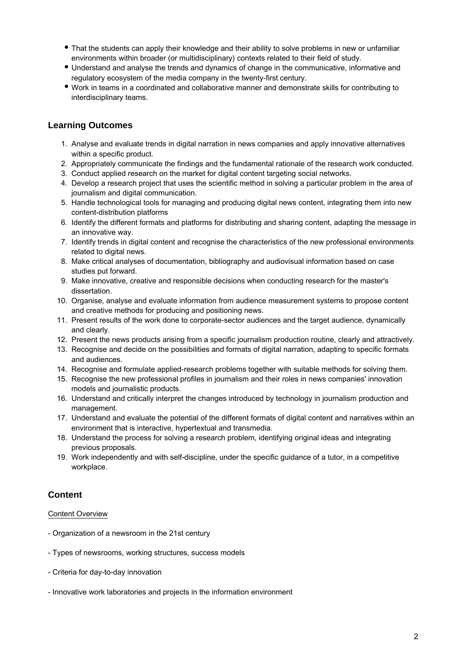- That the students can apply their knowledge and their ability to solve problems in new or unfamiliar environments within broader (or multidisciplinary) contexts related to their field of study.
- Understand and analyse the trends and dynamics of change in the communicative, informative and regulatory ecosystem of the media company in the twenty-first century.
- Work in teams in a coordinated and collaborative manner and demonstrate skills for contributing to interdisciplinary teams.

## **Learning Outcomes**

- 1. Analyse and evaluate trends in digital narration in news companies and apply innovative alternatives within a specific product.
- 2. Appropriately communicate the findings and the fundamental rationale of the research work conducted.
- 3. Conduct applied research on the market for digital content targeting social networks.
- 4. Develop a research project that uses the scientific method in solving a particular problem in the area of journalism and digital communication.
- 5. Handle technological tools for managing and producing digital news content, integrating them into new content-distribution platforms
- 6. Identify the different formats and platforms for distributing and sharing content, adapting the message in an innovative way.
- 7. Identify trends in digital content and recognise the characteristics of the new professional environments related to digital news.
- 8. Make critical analyses of documentation, bibliography and audiovisual information based on case studies put forward.
- 9. Make innovative, creative and responsible decisions when conducting research for the master's dissertation.
- 10. Organise, analyse and evaluate information from audience measurement systems to propose content and creative methods for producing and positioning news.
- 11. Present results of the work done to corporate-sector audiences and the target audience, dynamically and clearly.
- 12. Present the news products arising from a specific journalism production routine, clearly and attractively.
- 13. Recognise and decide on the possibilities and formats of digital narration, adapting to specific formats and audiences.
- 14. Recognise and formulate applied-research problems together with suitable methods for solving them.
- 15. Recognise the new professional profiles in journalism and their roles in news companies' innovation models and journalistic products.
- 16. Understand and critically interpret the changes introduced by technology in journalism production and management.
- 17. Understand and evaluate the potential of the different formats of digital content and narratives within an environment that is interactive, hypertextual and transmedia.
- 18. Understand the process for solving a research problem, identifying original ideas and integrating previous proposals.
- 19. Work independently and with self-discipline, under the specific guidance of a tutor, in a competitive workplace.

## **Content**

### Content Overview

- Organization of a newsroom in the 21st century
- Types of newsrooms, working structures, success models
- Criteria for day-to-day innovation
- Innovative work laboratories and projects in the information environment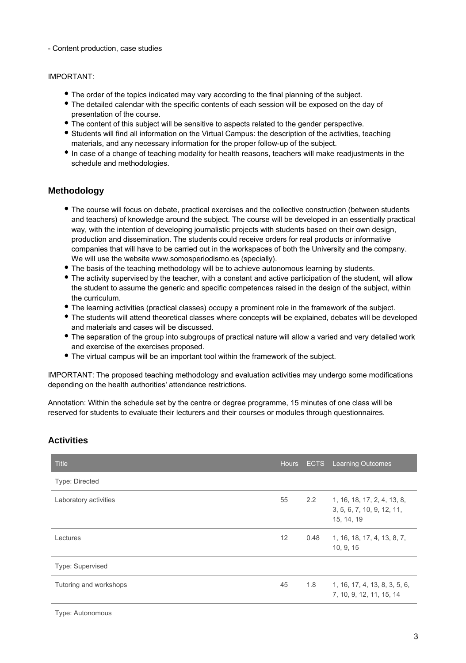#### - Content production, case studies

#### IMPORTANT:

- The order of the topics indicated may vary according to the final planning of the subject.
- The detailed calendar with the specific contents of each session will be exposed on the day of presentation of the course.
- The content of this subject will be sensitive to aspects related to the gender perspective.
- Students will find all information on the Virtual Campus: the description of the activities, teaching materials, and any necessary information for the proper follow-up of the subject.
- In case of a change of teaching modality for health reasons, teachers will make readjustments in the schedule and methodologies.

### **Methodology**

- The course will focus on debate, practical exercises and the collective construction (between students and teachers) of knowledge around the subject. The course will be developed in an essentially practical way, with the intention of developing journalistic projects with students based on their own design, production and dissemination. The students could receive orders for real products or informative companies that will have to be carried out in the workspaces of both the University and the company. We will use the website www.somosperiodismo.es (specially).
- The basis of the teaching methodology will be to achieve autonomous learning by students.
- The activity supervised by the teacher, with a constant and active participation of the student, will allow the student to assume the generic and specific competences raised in the design of the subject, within the curriculum.
- The learning activities (practical classes) occupy a prominent role in the framework of the subject.
- The students will attend theoretical classes where concepts will be explained, debates will be developed and materials and cases will be discussed.
- The separation of the group into subgroups of practical nature will allow a varied and very detailed work and exercise of the exercises proposed.
- The virtual campus will be an important tool within the framework of the subject.

IMPORTANT: The proposed teaching methodology and evaluation activities may undergo some modifications depending on the health authorities' attendance restrictions.

Annotation: Within the schedule set by the centre or degree programme, 15 minutes of one class will be reserved for students to evaluate their lecturers and their courses or modules through questionnaires.

| <b>Title</b>            | Hours, |      | <b>ECTS</b> Learning Outcomes                                               |
|-------------------------|--------|------|-----------------------------------------------------------------------------|
| Type: Directed          |        |      |                                                                             |
| Laboratory activities   | 55     |      | 2.2 1, 16, 18, 17, 2, 4, 13, 8,<br>3, 5, 6, 7, 10, 9, 12, 11,<br>15, 14, 19 |
| Lectures                | 12     | 0.48 | 1, 16, 18, 17, 4, 13, 8, 7,<br>10, 9, 15                                    |
| <b>Type: Supervised</b> |        |      |                                                                             |
| Tutoring and workshops  | 45     |      | $1.8$ 1, 16, 17, 4, 13, 8, 3, 5, 6,<br>7, 10, 9, 12, 11, 15, 14             |

## **Activities**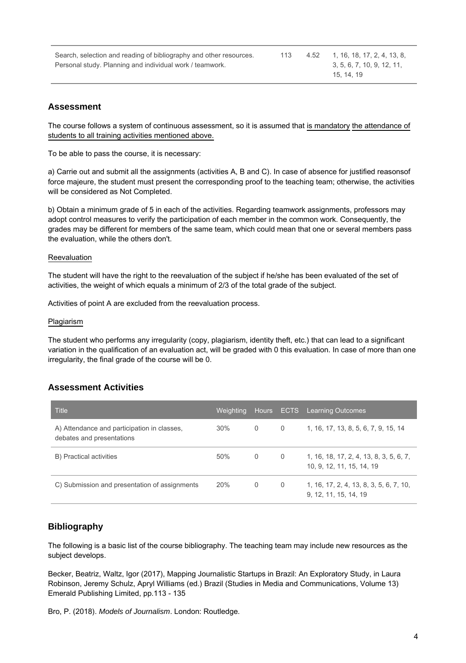| Search, selection and reading of bibliography and other resources. |  | 4.52 1, 16, 18, 17, 2, 4, 13, 8, |
|--------------------------------------------------------------------|--|----------------------------------|
| Personal study. Planning and individual work / teamwork.           |  | 3, 5, 6, 7, 10, 9, 12, 11,       |
|                                                                    |  | 15, 14, 19                       |

## **Assessment**

The course follows a system of continuous assessment, so it is assumed that is mandatory the attendance of students to all training activities mentioned above.

To be able to pass the course, it is necessary:

a) Carrie out and submit all the assignments (activities A, B and C). In case of absence for justified reasonsof force majeure, the student must present the corresponding proof to the teaching team; otherwise, the activities will be considered as Not Completed.

b) Obtain a minimum grade of 5 in each of the activities. Regarding teamwork assignments, professors may adopt control measures to verify the participation of each member in the common work. Consequently, the grades may be different for members of the same team, which could mean that one or several members pass the evaluation, while the others don't.

#### **Reevaluation**

The student will have the right to the reevaluation of the subject if he/she has been evaluated of the set of activities, the weight of which equals a minimum of 2/3 of the total grade of the subject.

Activities of point A are excluded from the reevaluation process.

#### Plagiarism

The student who performs any irregularity (copy, plagiarism, identity theft, etc.) that can lead to a significant variation in the qualification of an evaluation act, will be graded with 0 this evaluation. In case of more than one irregularity, the final grade of the course will be 0.

## **Assessment Activities**

| <b>Title</b>                                                             | Weighting, | Hours |   | <b>ECTS</b> Learning Outcomes                                        |
|--------------------------------------------------------------------------|------------|-------|---|----------------------------------------------------------------------|
| A) Attendance and participation in classes,<br>debates and presentations | 30%        | 0     | 0 | 1, 16, 17, 13, 8, 5, 6, 7, 9, 15, 14                                 |
| B) Practical activities                                                  | 50%        | 0     | 0 | 1, 16, 18, 17, 2, 4, 13, 8, 3, 5, 6, 7,<br>10, 9, 12, 11, 15, 14, 19 |
| C) Submission and presentation of assignments                            | 20%        | 0     | 0 | 1, 16, 17, 2, 4, 13, 8, 3, 5, 6, 7, 10,<br>9, 12, 11, 15, 14, 19     |

## **Bibliography**

The following is a basic list of the course bibliography. The teaching team may include new resources as the subject develops.

Becker, Beatriz, Waltz, Igor (2017), Mapping Journalistic Startups in Brazil: An Exploratory Study, in Laura Robinson, Jeremy Schulz, Apryl Williams (ed.) Brazil (Studies in Media and Communications, Volume 13) Emerald Publishing Limited, pp.113 - 135

Bro, P. (2018). Models of Journalism. London: Routledge.